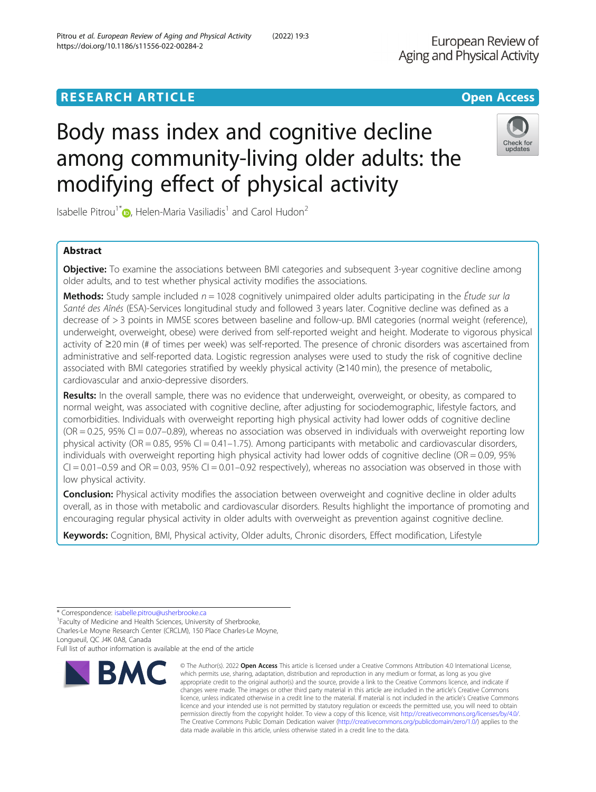# **RESEARCH ARTICLE Example 2018 12:30 THE OPEN ACCESS**

# Body mass index and cognitive decline among community-living older adults: the modifying effect of physical activity

Isabelle Pitrou<sup>1\*</sup>  $\bullet$ [,](http://orcid.org/0000-0001-9896-9677) Helen-Maria Vasiliadis<sup>1</sup> and Carol Hudon<sup>2</sup>

## Abstract

**Objective:** To examine the associations between BMI categories and subsequent 3-year cognitive decline among older adults, and to test whether physical activity modifies the associations.

**Methods:** Study sample included  $n = 1028$  cognitively unimpaired older adults participating in the *Étude sur la* Santé des Aînés (ESA)-Services longitudinal study and followed 3 years later. Cognitive decline was defined as a decrease of > 3 points in MMSE scores between baseline and follow-up. BMI categories (normal weight (reference), underweight, overweight, obese) were derived from self-reported weight and height. Moderate to vigorous physical activity of ≥20 min (# of times per week) was self-reported. The presence of chronic disorders was ascertained from administrative and self-reported data. Logistic regression analyses were used to study the risk of cognitive decline associated with BMI categories stratified by weekly physical activity (≥140 min), the presence of metabolic, cardiovascular and anxio-depressive disorders.

Results: In the overall sample, there was no evidence that underweight, overweight, or obesity, as compared to normal weight, was associated with cognitive decline, after adjusting for sociodemographic, lifestyle factors, and comorbidities. Individuals with overweight reporting high physical activity had lower odds of cognitive decline  $(OR = 0.25, 95\% CI = 0.07-0.89)$ , whereas no association was observed in individuals with overweight reporting low physical activity (OR = 0.85, 95% CI = 0.41–1.75). Among participants with metabolic and cardiovascular disorders, individuals with overweight reporting high physical activity had lower odds of cognitive decline ( $OR = 0.09$ ,  $95\%$  $CI = 0.01 - 0.59$  and  $OR = 0.03$ , 95%  $CI = 0.01 - 0.92$  respectively), whereas no association was observed in those with low physical activity.

**Conclusion:** Physical activity modifies the association between overweight and cognitive decline in older adults overall, as in those with metabolic and cardiovascular disorders. Results highlight the importance of promoting and encouraging regular physical activity in older adults with overweight as prevention against cognitive decline.

Keywords: Cognition, BMI, Physical activity, Older adults, Chronic disorders, Effect modification, Lifestyle

Longueuil, QC J4K 0A8, Canada

Full list of author information is available at the end of the article





**BMC** which permits use, sharing, adaptation, distribution and reproduction in any medium or format, as long as you give appropriate credit to the original author(s) and the source, provide a link to the Creative Commons licence, and indicate if changes were made. The images or other third party material in this article are included in the article's Creative Commons licence, unless indicated otherwise in a credit line to the material. If material is not included in the article's Creative Commons licence and your intended use is not permitted by statutory regulation or exceeds the permitted use, you will need to obtain permission directly from the copyright holder. To view a copy of this licence, visit [http://creativecommons.org/licenses/by/4.0/.](http://creativecommons.org/licenses/by/4.0/)

data made available in this article, unless otherwise stated in a credit line to the data.

© The Author(s), 2022 **Open Access** This article is licensed under a Creative Commons Attribution 4.0 International License,

<sup>\*</sup> Correspondence: [isabelle.pitrou@usherbrooke.ca](mailto:isabelle.pitrou@usherbrooke.ca) <sup>1</sup>

Faculty of Medicine and Health Sciences, University of Sherbrooke, Charles-Le Moyne Research Center (CRCLM), 150 Place Charles-Le Moyne,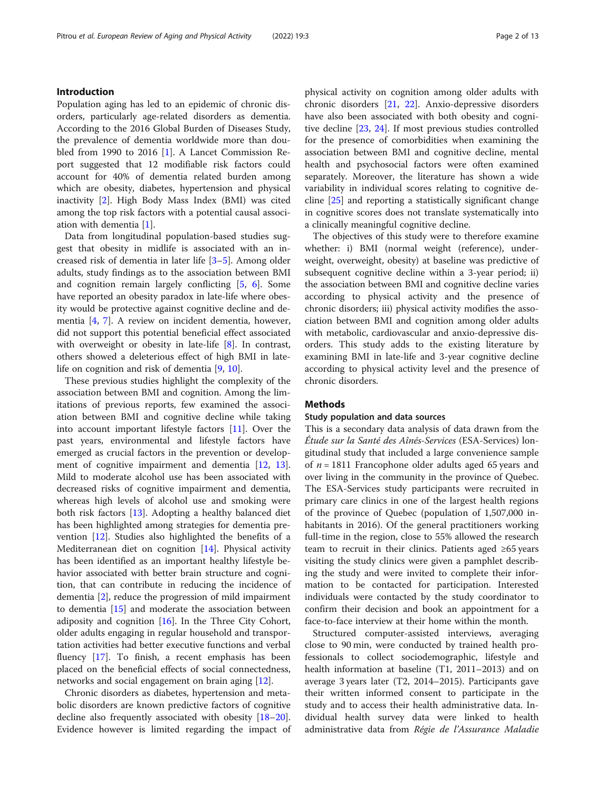## Introduction

Population aging has led to an epidemic of chronic disorders, particularly age-related disorders as dementia. According to the 2016 Global Burden of Diseases Study, the prevalence of dementia worldwide more than dou-bled from 1990 to 2016 [[1\]](#page-10-0). A Lancet Commission Report suggested that 12 modifiable risk factors could account for 40% of dementia related burden among which are obesity, diabetes, hypertension and physical inactivity [[2\]](#page-10-0). High Body Mass Index (BMI) was cited among the top risk factors with a potential causal association with dementia [[1\]](#page-10-0).

Data from longitudinal population-based studies suggest that obesity in midlife is associated with an increased risk of dementia in later life [[3](#page-10-0)–[5\]](#page-10-0). Among older adults, study findings as to the association between BMI and cognition remain largely conflicting [\[5](#page-10-0), [6\]](#page-10-0). Some have reported an obesity paradox in late-life where obesity would be protective against cognitive decline and dementia [[4,](#page-10-0) [7\]](#page-10-0). A review on incident dementia, however, did not support this potential beneficial effect associated with overweight or obesity in late-life [[8\]](#page-10-0). In contrast, others showed a deleterious effect of high BMI in latelife on cognition and risk of dementia [\[9](#page-10-0), [10](#page-10-0)].

These previous studies highlight the complexity of the association between BMI and cognition. Among the limitations of previous reports, few examined the association between BMI and cognitive decline while taking into account important lifestyle factors [\[11](#page-10-0)]. Over the past years, environmental and lifestyle factors have emerged as crucial factors in the prevention or develop-ment of cognitive impairment and dementia [\[12,](#page-10-0) [13](#page-10-0)]. Mild to moderate alcohol use has been associated with decreased risks of cognitive impairment and dementia, whereas high levels of alcohol use and smoking were both risk factors [[13](#page-10-0)]. Adopting a healthy balanced diet has been highlighted among strategies for dementia prevention [\[12\]](#page-10-0). Studies also highlighted the benefits of a Mediterranean diet on cognition [[14\]](#page-10-0). Physical activity has been identified as an important healthy lifestyle behavior associated with better brain structure and cognition, that can contribute in reducing the incidence of dementia [[2](#page-10-0)], reduce the progression of mild impairment to dementia [[15](#page-10-0)] and moderate the association between adiposity and cognition [[16](#page-11-0)]. In the Three City Cohort, older adults engaging in regular household and transportation activities had better executive functions and verbal fluency [\[17](#page-11-0)]. To finish, a recent emphasis has been placed on the beneficial effects of social connectedness, networks and social engagement on brain aging [\[12](#page-10-0)].

Chronic disorders as diabetes, hypertension and metabolic disorders are known predictive factors of cognitive decline also frequently associated with obesity [[18](#page-11-0)–[20](#page-11-0)]. Evidence however is limited regarding the impact of physical activity on cognition among older adults with chronic disorders [\[21](#page-11-0), [22](#page-11-0)]. Anxio-depressive disorders have also been associated with both obesity and cognitive decline [[23,](#page-11-0) [24](#page-11-0)]. If most previous studies controlled for the presence of comorbidities when examining the association between BMI and cognitive decline, mental health and psychosocial factors were often examined separately. Moreover, the literature has shown a wide variability in individual scores relating to cognitive decline [[25\]](#page-11-0) and reporting a statistically significant change in cognitive scores does not translate systematically into a clinically meaningful cognitive decline.

The objectives of this study were to therefore examine whether: i) BMI (normal weight (reference), underweight, overweight, obesity) at baseline was predictive of subsequent cognitive decline within a 3-year period; ii) the association between BMI and cognitive decline varies according to physical activity and the presence of chronic disorders; iii) physical activity modifies the association between BMI and cognition among older adults with metabolic, cardiovascular and anxio-depressive disorders. This study adds to the existing literature by examining BMI in late-life and 3-year cognitive decline according to physical activity level and the presence of chronic disorders.

## **Methods**

## Study population and data sources

This is a secondary data analysis of data drawn from the Étude sur la Santé des Aînés-Services (ESA-Services) longitudinal study that included a large convenience sample of  $n = 1811$  Francophone older adults aged 65 years and over living in the community in the province of Quebec. The ESA-Services study participants were recruited in primary care clinics in one of the largest health regions of the province of Quebec (population of 1,507,000 inhabitants in 2016). Of the general practitioners working full-time in the region, close to 55% allowed the research team to recruit in their clinics. Patients aged ≥65 years visiting the study clinics were given a pamphlet describing the study and were invited to complete their information to be contacted for participation. Interested individuals were contacted by the study coordinator to confirm their decision and book an appointment for a face-to-face interview at their home within the month.

Structured computer-assisted interviews, averaging close to 90 min, were conducted by trained health professionals to collect sociodemographic, lifestyle and health information at baseline (T1, 2011–2013) and on average 3 years later (T2, 2014–2015). Participants gave their written informed consent to participate in the study and to access their health administrative data. Individual health survey data were linked to health administrative data from Régie de l'Assurance Maladie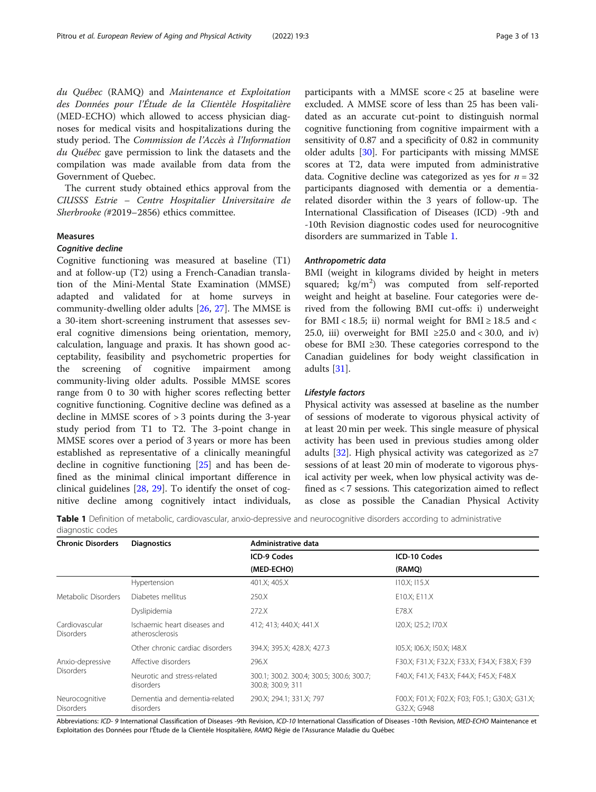<span id="page-2-0"></span>du Québec (RAMQ) and Maintenance et Exploitation des Données pour l'Étude de la Clientèle Hospitalière (MED-ECHO) which allowed to access physician diagnoses for medical visits and hospitalizations during the study period. The Commission de l'Accès à l'Information du Québec gave permission to link the datasets and the compilation was made available from data from the Government of Quebec.

The current study obtained ethics approval from the CIUSSS Estrie – Centre Hospitalier Universitaire de Sherbrooke (#2019–2856) ethics committee.

#### Measures

## Cognitive decline

Cognitive functioning was measured at baseline (T1) and at follow-up (T2) using a French-Canadian translation of the Mini-Mental State Examination (MMSE) adapted and validated for at home surveys in community-dwelling older adults [\[26](#page-11-0), [27](#page-11-0)]. The MMSE is a 30-item short-screening instrument that assesses several cognitive dimensions being orientation, memory, calculation, language and praxis. It has shown good acceptability, feasibility and psychometric properties for the screening of cognitive impairment among community-living older adults. Possible MMSE scores range from 0 to 30 with higher scores reflecting better cognitive functioning. Cognitive decline was defined as a decline in MMSE scores of > 3 points during the 3-year study period from T1 to T2. The 3-point change in MMSE scores over a period of 3 years or more has been established as representative of a clinically meaningful decline in cognitive functioning [[25](#page-11-0)] and has been defined as the minimal clinical important difference in clinical guidelines [[28](#page-11-0), [29\]](#page-11-0). To identify the onset of cognitive decline among cognitively intact individuals, participants with a MMSE score < 25 at baseline were excluded. A MMSE score of less than 25 has been validated as an accurate cut-point to distinguish normal cognitive functioning from cognitive impairment with a sensitivity of 0.87 and a specificity of 0.82 in community older adults [\[30\]](#page-11-0). For participants with missing MMSE scores at T2, data were imputed from administrative data. Cognitive decline was categorized as yes for  $n = 32$ participants diagnosed with dementia or a dementiarelated disorder within the 3 years of follow-up. The International Classification of Diseases (ICD) -9th and -10th Revision diagnostic codes used for neurocognitive disorders are summarized in Table 1.

#### Anthropometric data

BMI (weight in kilograms divided by height in meters squared; kg/m<sup>2</sup>) was computed from self-reported weight and height at baseline. Four categories were derived from the following BMI cut-offs: i) underweight for BMI < 18.5; ii) normal weight for BMI  $\geq 18.5$  and < 25.0, iii) overweight for BMI  $\geq$ 25.0 and < 30.0, and iv) obese for BMI ≥30. These categories correspond to the Canadian guidelines for body weight classification in adults [\[31](#page-11-0)].

## Lifestyle factors

Physical activity was assessed at baseline as the number of sessions of moderate to vigorous physical activity of at least 20 min per week. This single measure of physical activity has been used in previous studies among older adults [[32\]](#page-11-0). High physical activity was categorized as  $\geq 7$ sessions of at least 20 min of moderate to vigorous physical activity per week, when low physical activity was defined as < 7 sessions. This categorization aimed to reflect as close as possible the Canadian Physical Activity

Table 1 Definition of metabolic, cardiovascular, anxio-depressive and neurocognitive disorders according to administrative diagnostic codes

| <b>Chronic Disorders</b>             | <b>Diagnostics</b>                              | Administrative data                                            |                                                               |  |
|--------------------------------------|-------------------------------------------------|----------------------------------------------------------------|---------------------------------------------------------------|--|
|                                      |                                                 | <b>ICD-9 Codes</b><br>(MED-ECHO)                               | ICD-10 Codes<br>(RAMQ)                                        |  |
|                                      |                                                 |                                                                |                                                               |  |
| Metabolic Disorders                  | Diabetes mellitus                               | 250.X                                                          | E10.X; E11.X                                                  |  |
|                                      | Dyslipidemia                                    | 272.X                                                          | E78.X                                                         |  |
| Cardiovascular<br><b>Disorders</b>   | Ischaemic heart diseases and<br>atherosclerosis | 412; 413; 440.X; 441.X                                         | I20.X; I25.2; I70.X                                           |  |
|                                      | Other chronic cardiac disorders                 | 394.X; 395.X; 428.X; 427.3                                     | 105.X; 106.X; 150.X; 148.X                                    |  |
| Anxio-depressive<br><b>Disorders</b> | Affective disorders                             | 296.X                                                          | F30.X; F31.X; F32.X; F33.X; F34.X; F38.X; F39                 |  |
|                                      | Neurotic and stress-related<br>disorders        | 300.1; 300.2. 300.4; 300.5; 300.6; 300.7;<br>300.8; 300.9; 311 | F40.X; F41.X; F43.X; F44.X; F45.X; F48.X                      |  |
| Neurocognitive<br><b>Disorders</b>   | Dementia and dementia-related<br>disorders      | 290.X; 294.1; 331.X; 797                                       | FOO.X; FO1.X; FO2.X; FO3; FO5.1; G30.X; G31.X;<br>G32.X: G948 |  |

Abbreviations: ICD-9 International Classification of Diseases -9th Revision, ICD-10 International Classification of Diseases -10th Revision, MED-ECHO Maintenance et Exploitation des Données pour l'Étude de la Clientèle Hospitalière, RAMQ Régie de l'Assurance Maladie du Québec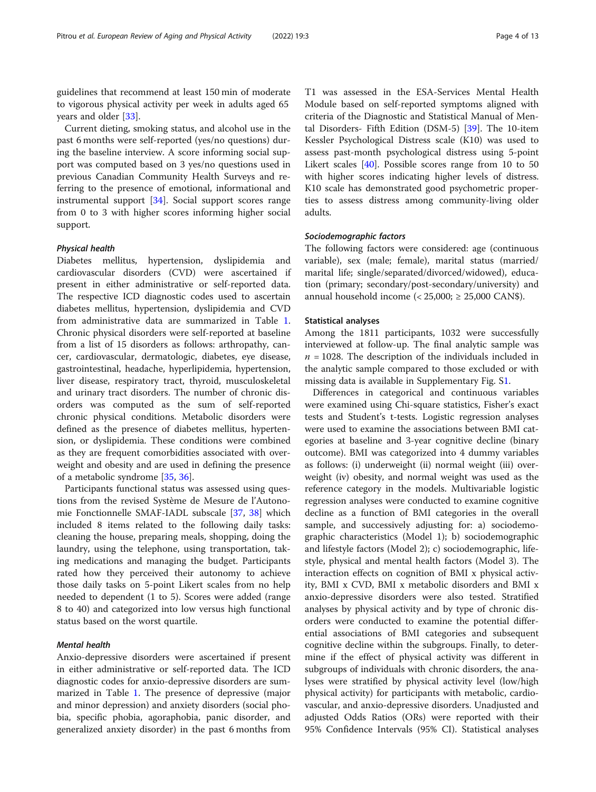guidelines that recommend at least 150 min of moderate to vigorous physical activity per week in adults aged 65 years and older [\[33](#page-11-0)].

Current dieting, smoking status, and alcohol use in the past 6 months were self-reported (yes/no questions) during the baseline interview. A score informing social support was computed based on 3 yes/no questions used in previous Canadian Community Health Surveys and referring to the presence of emotional, informational and instrumental support [[34\]](#page-11-0). Social support scores range from 0 to 3 with higher scores informing higher social support.

## Physical health

Diabetes mellitus, hypertension, dyslipidemia and cardiovascular disorders (CVD) were ascertained if present in either administrative or self-reported data. The respective ICD diagnostic codes used to ascertain diabetes mellitus, hypertension, dyslipidemia and CVD from administrative data are summarized in Table [1](#page-2-0). Chronic physical disorders were self-reported at baseline from a list of 15 disorders as follows: arthropathy, cancer, cardiovascular, dermatologic, diabetes, eye disease, gastrointestinal, headache, hyperlipidemia, hypertension, liver disease, respiratory tract, thyroid, musculoskeletal and urinary tract disorders. The number of chronic disorders was computed as the sum of self-reported chronic physical conditions. Metabolic disorders were defined as the presence of diabetes mellitus, hypertension, or dyslipidemia. These conditions were combined as they are frequent comorbidities associated with overweight and obesity and are used in defining the presence of a metabolic syndrome [\[35,](#page-11-0) [36\]](#page-11-0).

Participants functional status was assessed using questions from the revised Système de Mesure de l'Autonomie Fonctionnelle SMAF-IADL subscale [\[37,](#page-11-0) [38\]](#page-11-0) which included 8 items related to the following daily tasks: cleaning the house, preparing meals, shopping, doing the laundry, using the telephone, using transportation, taking medications and managing the budget. Participants rated how they perceived their autonomy to achieve those daily tasks on 5-point Likert scales from no help needed to dependent (1 to 5). Scores were added (range 8 to 40) and categorized into low versus high functional status based on the worst quartile.

## Mental health

Anxio-depressive disorders were ascertained if present in either administrative or self-reported data. The ICD diagnostic codes for anxio-depressive disorders are summarized in Table [1](#page-2-0). The presence of depressive (major and minor depression) and anxiety disorders (social phobia, specific phobia, agoraphobia, panic disorder, and generalized anxiety disorder) in the past 6 months from

T1 was assessed in the ESA-Services Mental Health Module based on self-reported symptoms aligned with criteria of the Diagnostic and Statistical Manual of Mental Disorders- Fifth Edition (DSM-5) [[39\]](#page-11-0). The 10-item Kessler Psychological Distress scale (K10) was used to assess past-month psychological distress using 5-point Likert scales [\[40](#page-11-0)]. Possible scores range from 10 to 50 with higher scores indicating higher levels of distress. K10 scale has demonstrated good psychometric properties to assess distress among community-living older adults.

#### Sociodemographic factors

The following factors were considered: age (continuous variable), sex (male; female), marital status (married/ marital life; single/separated/divorced/widowed), education (primary; secondary/post-secondary/university) and annual household income  $\left( < 25,000 \right) \ge 25,000 \text{ CAN}\$ .

#### Statistical analyses

Among the 1811 participants, 1032 were successfully interviewed at follow-up. The final analytic sample was  $n = 1028$ . The description of the individuals included in the analytic sample compared to those excluded or with missing data is available in Supplementary Fig. S[1](#page-10-0).

Differences in categorical and continuous variables were examined using Chi-square statistics, Fisher's exact tests and Student's t-tests. Logistic regression analyses were used to examine the associations between BMI categories at baseline and 3-year cognitive decline (binary outcome). BMI was categorized into 4 dummy variables as follows: (i) underweight (ii) normal weight (iii) overweight (iv) obesity, and normal weight was used as the reference category in the models. Multivariable logistic regression analyses were conducted to examine cognitive decline as a function of BMI categories in the overall sample, and successively adjusting for: a) sociodemographic characteristics (Model 1); b) sociodemographic and lifestyle factors (Model 2); c) sociodemographic, lifestyle, physical and mental health factors (Model 3). The interaction effects on cognition of BMI x physical activity, BMI x CVD, BMI x metabolic disorders and BMI x anxio-depressive disorders were also tested. Stratified analyses by physical activity and by type of chronic disorders were conducted to examine the potential differential associations of BMI categories and subsequent cognitive decline within the subgroups. Finally, to determine if the effect of physical activity was different in subgroups of individuals with chronic disorders, the analyses were stratified by physical activity level (low/high physical activity) for participants with metabolic, cardiovascular, and anxio-depressive disorders. Unadjusted and adjusted Odds Ratios (ORs) were reported with their 95% Confidence Intervals (95% CI). Statistical analyses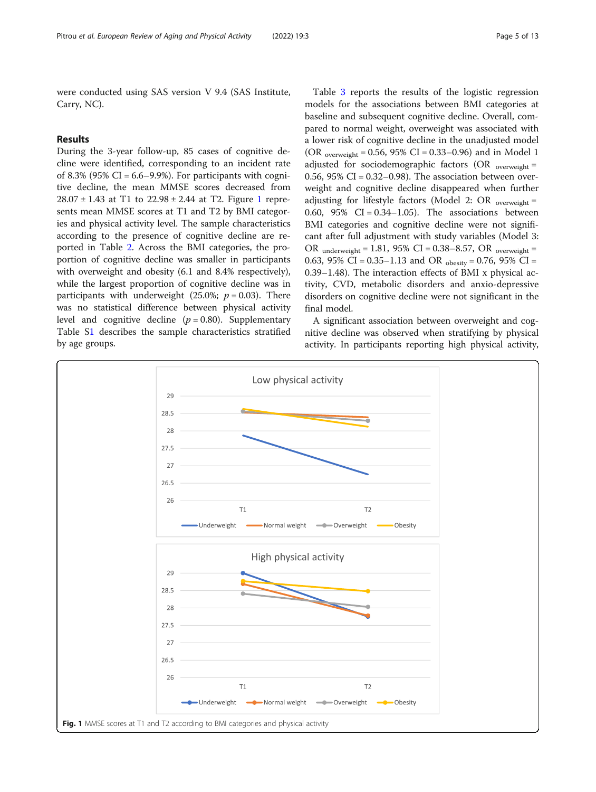were conducted using SAS version V 9.4 (SAS Institute, Carry, NC).

## Results

During the 3-year follow-up, 85 cases of cognitive decline were identified, corresponding to an incident rate of 8.3% (95% CI =  $6.6-9.9%$ ). For participants with cognitive decline, the mean MMSE scores decreased from  $28.07 \pm 1.43$  at T1 to  $22.98 \pm 2.44$  at T2. Figure 1 represents mean MMSE scores at T1 and T2 by BMI categories and physical activity level. The sample characteristics according to the presence of cognitive decline are reported in Table [2.](#page-5-0) Across the BMI categories, the proportion of cognitive decline was smaller in participants with overweight and obesity (6.1 and 8.4% respectively), while the largest proportion of cognitive decline was in participants with underweight (25.0%;  $p = 0.03$ ). There was no statistical difference between physical activity level and cognitive decline  $(p = 0.80)$ . Supplementary Table [S1](#page-10-0) describes the sample characteristics stratified by age groups.

Table [3](#page-7-0) reports the results of the logistic regression models for the associations between BMI categories at baseline and subsequent cognitive decline. Overall, compared to normal weight, overweight was associated with a lower risk of cognitive decline in the unadjusted model (OR <sub>overweight</sub> = 0.56, 95% CI = 0.33–0.96) and in Model 1 adjusted for sociodemographic factors (OR  $_{overweight}$  = 0.56,  $95\%$  CI = 0.32–0.98). The association between overweight and cognitive decline disappeared when further adjusting for lifestyle factors (Model 2: OR  $_{overweight}$  = 0.60, 95%  $CI = 0.34-1.05$ ). The associations between BMI categories and cognitive decline were not significant after full adjustment with study variables (Model 3: OR underweight = 1.81, 95% CI = 0.38–8.57, OR  $_{overweight}$  = 0.63, 95% CI = 0.35–1.13 and OR  $_{\text{obesity}}$  = 0.76, 95% CI = 0.39–1.48). The interaction effects of BMI x physical activity, CVD, metabolic disorders and anxio-depressive disorders on cognitive decline were not significant in the final model.

A significant association between overweight and cognitive decline was observed when stratifying by physical activity. In participants reporting high physical activity,

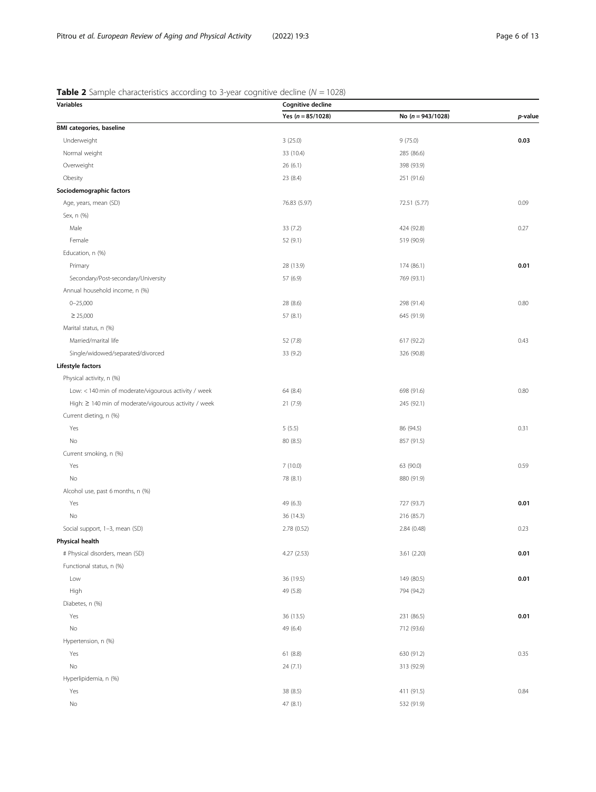# <span id="page-5-0"></span>**Table 2** Sample characteristics according to 3-year cognitive decline ( $N = 1028$ )

| <b>Variables</b>                                      | Cognitive decline   |                     |         |
|-------------------------------------------------------|---------------------|---------------------|---------|
|                                                       | Yes $(n = 85/1028)$ | No $(n = 943/1028)$ | p-value |
| <b>BMI categories, baseline</b>                       |                     |                     |         |
| Underweight                                           | 3(25.0)             | 9(75.0)             | 0.03    |
| Normal weight                                         | 33 (10.4)           | 285 (86.6)          |         |
| Overweight                                            | 26(6.1)             | 398 (93.9)          |         |
| Obesity                                               | 23 (8.4)            | 251 (91.6)          |         |
| Sociodemographic factors                              |                     |                     |         |
| Age, years, mean (SD)                                 | 76.83 (5.97)        | 72.51 (5.77)        | 0.09    |
| Sex, n (%)                                            |                     |                     |         |
| Male                                                  | 33 (7.2)            | 424 (92.8)          | 0.27    |
| Female                                                | 52 (9.1)            | 519 (90.9)          |         |
| Education, n (%)                                      |                     |                     |         |
| Primary                                               | 28 (13.9)           | 174 (86.1)          | 0.01    |
| Secondary/Post-secondary/University                   | 57 (6.9)            | 769 (93.1)          |         |
| Annual household income, n (%)                        |                     |                     |         |
| $0 - 25,000$                                          | 28 (8.6)            | 298 (91.4)          | 0.80    |
| $\geq 25,000$                                         | 57 (8.1)            | 645 (91.9)          |         |
| Marital status, n (%)                                 |                     |                     |         |
| Married/marital life                                  | 52 (7.8)            | 617 (92.2)          | 0.43    |
| Single/widowed/separated/divorced                     | 33 (9.2)            | 326 (90.8)          |         |
| Lifestyle factors                                     |                     |                     |         |
| Physical activity, n (%)                              |                     |                     |         |
| Low: < 140 min of moderate/vigourous activity / week  | 64 (8.4)            | 698 (91.6)          | 0.80    |
| High: ≥ 140 min of moderate/vigourous activity / week | 21 (7.9)            | 245 (92.1)          |         |
| Current dieting, n (%)                                |                     |                     |         |
| Yes                                                   | 5(5.5)              | 86 (94.5)           | 0.31    |
| No                                                    | 80 (8.5)            | 857 (91.5)          |         |
| Current smoking, n (%)                                |                     |                     |         |
| Yes                                                   | 7(10.0)             | 63 (90.0)           | 0.59    |
| No                                                    | 78 (8.1)            | 880 (91.9)          |         |
| Alcohol use, past 6 months, n (%)                     |                     |                     |         |
| Yes                                                   | 49 (6.3)            | 727 (93.7)          | 0.01    |
| No                                                    | 36 (14.3)           | 216 (85.7)          |         |
| Social support, 1-3, mean (SD)                        | 2.78 (0.52)         | 2.84 (0.48)         | 0.23    |
| <b>Physical health</b>                                |                     |                     |         |
| # Physical disorders, mean (SD)                       | 4.27 (2.53)         | 3.61 (2.20)         | 0.01    |
| Functional status, n (%)                              |                     |                     |         |
| Low                                                   | 36 (19.5)           | 149 (80.5)          | 0.01    |
| High                                                  | 49 (5.8)            | 794 (94.2)          |         |
| Diabetes, n (%)                                       |                     |                     |         |
| Yes                                                   | 36 (13.5)           | 231 (86.5)          | 0.01    |
| No                                                    | 49 (6.4)            | 712 (93.6)          |         |
| Hypertension, n (%)                                   |                     |                     |         |
| Yes                                                   | 61(8.8)             | 630 (91.2)          | 0.35    |
| No                                                    | 24 (7.1)            | 313 (92.9)          |         |
| Hyperlipidemia, n (%)                                 |                     |                     |         |
| Yes                                                   | 38 (8.5)            | 411 (91.5)          | 0.84    |
| No                                                    | 47 (8.1)            | 532 (91.9)          |         |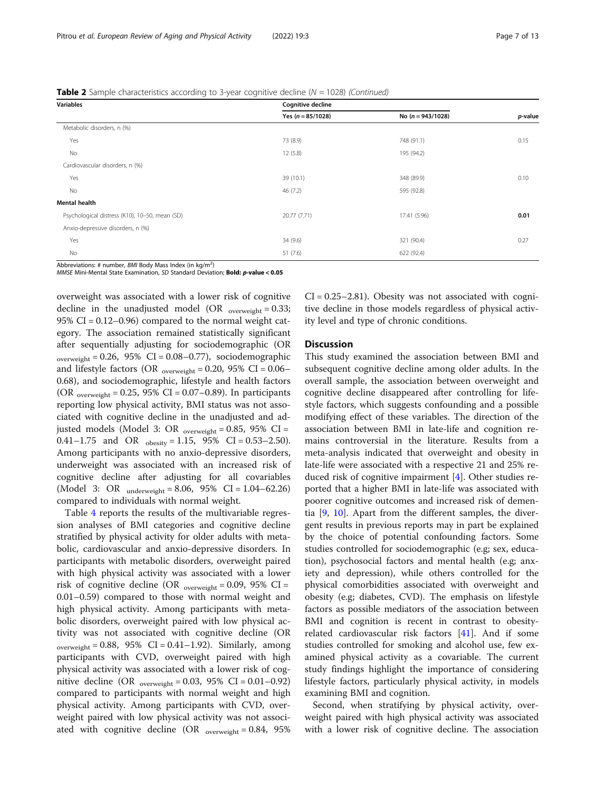## **Table 2** Sample characteristics according to 3-year cognitive decline ( $N = 1028$ ) (Continued)

| <b>Variables</b>                               | <b>Cognitive decline</b> |                     |         |
|------------------------------------------------|--------------------------|---------------------|---------|
|                                                | Yes ( $n = 85/1028$ )    | No $(n = 943/1028)$ | p-value |
| Metabolic disorders, n (%)                     |                          |                     |         |
| Yes                                            | 73 (8.9)                 | 748 (91.1)          | 0.15    |
| No                                             | 12(5.8)                  | 195 (94.2)          |         |
| Cardiovascular disorders, n (%)                |                          |                     |         |
| Yes                                            | 39 (10.1)                | 348 (89.9)          | 0.10    |
| No                                             | 46(7.2)                  | 595 (92.8)          |         |
| <b>Mental health</b>                           |                          |                     |         |
| Psychological distress (K10), 10-50, mean (SD) | 20.77 (7.71)             | 17.41 (5.96)        | 0.01    |
| Anxio-depressive disorders, n (%)              |                          |                     |         |
| Yes                                            | 34 (9.6)                 | 321 (90.4)          | 0.27    |
| No                                             | 51(7.6)                  | 622 (92.4)          |         |

Abbreviations: # number, BMI Body Mass Index (in kg/m<sup>2</sup>)

MMSE Mini-Mental State Examination, SD Standard Deviation; Bold: p-value < 0.05

overweight was associated with a lower risk of cognitive decline in the unadjusted model (OR  $_{\text{overweight}} = 0.33$ ; 95% CI =  $0.12-0.96$ ) compared to the normal weight category. The association remained statistically significant after sequentially adjusting for sociodemographic (OR  $overweight = 0.26$ , 95% CI = 0.08–0.77), sociodemographic and lifestyle factors (OR  $_{\text{overs weight}} = 0.20$ , 95% CI = 0.06– 0.68), and sociodemographic, lifestyle and health factors (OR  $_{overweight} = 0.25$ , 95% CI = 0.07-0.89). In participants reporting low physical activity, BMI status was not associated with cognitive decline in the unadjusted and adjusted models (Model 3: OR  $_{overweight} = 0.85$ , 95% CI = 0.41–1.75 and OR  $_{\text{obesity}} = 1.15$ , 95% CI = 0.53–2.50). Among participants with no anxio-depressive disorders, underweight was associated with an increased risk of cognitive decline after adjusting for all covariables (Model 3: OR  $_{underweight} = 8.06, 95\%$  CI = 1.04–62.26) compared to individuals with normal weight.

Table [4](#page-8-0) reports the results of the multivariable regression analyses of BMI categories and cognitive decline stratified by physical activity for older adults with metabolic, cardiovascular and anxio-depressive disorders. In participants with metabolic disorders, overweight paired with high physical activity was associated with a lower risk of cognitive decline (OR  $_{overweight} = 0.09$ , 95% CI = 0.01–0.59) compared to those with normal weight and high physical activity. Among participants with metabolic disorders, overweight paired with low physical activity was not associated with cognitive decline (OR  $overweight = 0.88$ , 95% CI = 0.41–1.92). Similarly, among participants with CVD, overweight paired with high physical activity was associated with a lower risk of cognitive decline (OR  $_{\text{overweight}} = 0.03, 95\% \text{ CI} = 0.01 - 0.92$ ) compared to participants with normal weight and high physical activity. Among participants with CVD, overweight paired with low physical activity was not associated with cognitive decline (OR  $_{\text{overweight}} = 0.84, 95\%$   $CI = 0.25 - 2.81$ . Obesity was not associated with cognitive decline in those models regardless of physical activity level and type of chronic conditions.

## **Discussion**

This study examined the association between BMI and subsequent cognitive decline among older adults. In the overall sample, the association between overweight and cognitive decline disappeared after controlling for lifestyle factors, which suggests confounding and a possible modifying effect of these variables. The direction of the association between BMI in late-life and cognition remains controversial in the literature. Results from a meta-analysis indicated that overweight and obesity in late-life were associated with a respective 21 and 25% reduced risk of cognitive impairment [\[4](#page-10-0)]. Other studies reported that a higher BMI in late-life was associated with poorer cognitive outcomes and increased risk of dementia [\[9,](#page-10-0) [10\]](#page-10-0). Apart from the different samples, the divergent results in previous reports may in part be explained by the choice of potential confounding factors. Some studies controlled for sociodemographic (e.g; sex, education), psychosocial factors and mental health (e.g; anxiety and depression), while others controlled for the physical comorbidities associated with overweight and obesity (e.g; diabetes, CVD). The emphasis on lifestyle factors as possible mediators of the association between BMI and cognition is recent in contrast to obesityrelated cardiovascular risk factors [[41\]](#page-11-0). And if some studies controlled for smoking and alcohol use, few examined physical activity as a covariable. The current study findings highlight the importance of considering lifestyle factors, particularly physical activity, in models examining BMI and cognition.

Second, when stratifying by physical activity, overweight paired with high physical activity was associated with a lower risk of cognitive decline. The association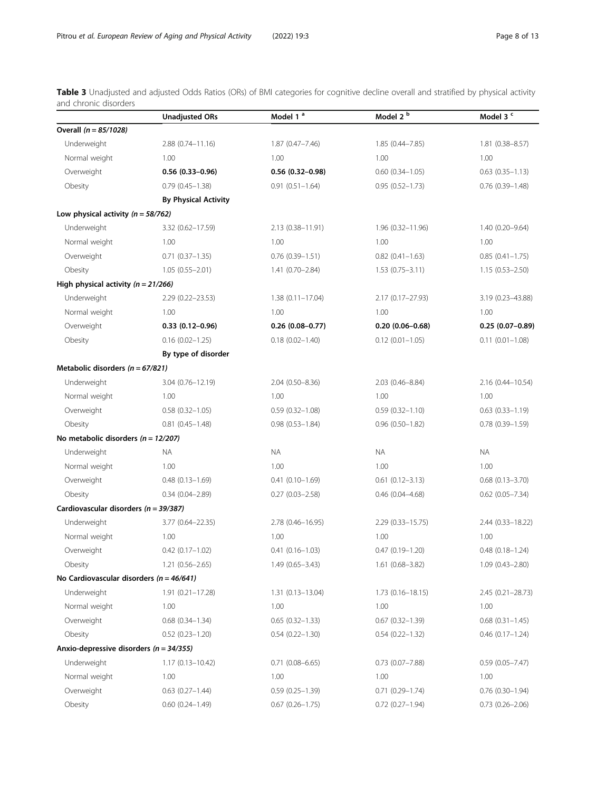<span id="page-7-0"></span>**Table 3** Unadjusted and adjusted Odds Ratios (ORs) of BMI categories for cognitive decline overall and stratified by physical activity and chronic disorders

|                                              | <b>Unadjusted ORs</b>       | Model 1 <sup>a</sup>   | Model 2 <sup>b</sup>   | Model 3 <sup>c</sup>   |
|----------------------------------------------|-----------------------------|------------------------|------------------------|------------------------|
| Overall $(n = 85/1028)$                      |                             |                        |                        |                        |
| Underweight                                  | $2.88(0.74 - 11.16)$        | $1.87(0.47 - 7.46)$    | $1.85(0.44 - 7.85)$    | 1.81 (0.38-8.57)       |
| Normal weight                                | 1.00                        | 1.00                   | 1.00                   | 1.00                   |
| Overweight                                   | $0.56(0.33 - 0.96)$         | $0.56(0.32 - 0.98)$    | $0.60$ $(0.34 - 1.05)$ | $0.63$ $(0.35 - 1.13)$ |
| Obesity                                      | $0.79(0.45 - 1.38)$         | $0.91(0.51 - 1.64)$    | $0.95(0.52 - 1.73)$    | $0.76$ $(0.39 - 1.48)$ |
|                                              | <b>By Physical Activity</b> |                        |                        |                        |
| Low physical activity ( $n = 58/762$ )       |                             |                        |                        |                        |
| Underweight                                  | 3.32 (0.62-17.59)           | 2.13 (0.38-11.91)      | $1.96(0.32 - 11.96)$   | $1.40(0.20 - 9.64)$    |
| Normal weight                                | 1.00                        | 1.00                   | 1.00                   | 1.00                   |
| Overweight                                   | $0.71(0.37 - 1.35)$         | $0.76(0.39 - 1.51)$    | $0.82$ (0.41-1.63)     | $0.85(0.41 - 1.75)$    |
| Obesity                                      | $1.05(0.55 - 2.01)$         | $1.41(0.70 - 2.84)$    | $1.53(0.75 - 3.11)$    | $1.15(0.53 - 2.50)$    |
| High physical activity ( $n = 21/266$ )      |                             |                        |                        |                        |
| Underweight                                  | $2.29(0.22 - 23.53)$        | $1.38(0.11 - 17.04)$   | 2.17 (0.17-27.93)      | 3.19 (0.23-43.88)      |
| Normal weight                                | 1.00                        | 1.00                   | 1.00                   | 1.00                   |
| Overweight                                   | $0.33(0.12 - 0.96)$         | $0.26(0.08 - 0.77)$    | $0.20(0.06 - 0.68)$    | $0.25(0.07-0.89)$      |
| Obesity                                      | $0.16(0.02 - 1.25)$         | $0.18(0.02 - 1.40)$    | $0.12$ (0.01-1.05)     | $0.11(0.01 - 1.08)$    |
|                                              | By type of disorder         |                        |                        |                        |
| Metabolic disorders ( $n = 67/821$ )         |                             |                        |                        |                        |
| Underweight                                  | $3.04(0.76 - 12.19)$        | 2.04 (0.50-8.36)       | 2.03 (0.46-8.84)       | 2.16 (0.44-10.54)      |
| Normal weight                                | 1.00                        | 1.00                   | 1.00                   | 1.00                   |
| Overweight                                   | $0.58$ $(0.32 - 1.05)$      | $0.59(0.32 - 1.08)$    | $0.59(0.32 - 1.10)$    | $0.63$ $(0.33 - 1.19)$ |
| Obesity                                      | $0.81$ $(0.45 - 1.48)$      | $0.98(0.53 - 1.84)$    | $0.96$ $(0.50-1.82)$   | $0.78(0.39 - 1.59)$    |
| No metabolic disorders ( $n = 12/207$ )      |                             |                        |                        |                        |
| Underweight                                  | NA.                         | <b>NA</b>              | NA.                    | <b>NA</b>              |
| Normal weight                                | 1.00                        | 1.00                   | 1.00                   | 1.00                   |
| Overweight                                   | $0.48$ $(0.13 - 1.69)$      | $0.41(0.10-1.69)$      | $0.61(0.12 - 3.13)$    | $0.68$ $(0.13 - 3.70)$ |
| Obesity                                      | $0.34(0.04 - 2.89)$         | $0.27(0.03 - 2.58)$    | $0.46$ (0.04-4.68)     | $0.62$ (0.05-7.34)     |
| Cardiovascular disorders ( $n = 39/387$ )    |                             |                        |                        |                        |
| Underweight                                  | 3.77 (0.64-22.35)           | 2.78 (0.46-16.95)      | $2.29(0.33 - 15.75)$   | 2.44 (0.33-18.22)      |
| Normal weight                                | 1.00                        | 1.00                   | 1.00                   | 1.00                   |
| Overweight                                   | $0.42$ $(0.17 - 1.02)$      | $0.41(0.16 - 1.03)$    | $0.47(0.19 - 1.20)$    | $0.48(0.18 - 1.24)$    |
| Obesity                                      | $1.21(0.56 - 2.65)$         | 1.49 (0.65-3.43)       | 1.61 (0.68-3.82)       | $1.09(0.43 - 2.80)$    |
| No Cardiovascular disorders ( $n = 46/641$ ) |                             |                        |                        |                        |
| Underweight                                  | $1.91(0.21 - 17.28)$        | $1.31(0.13 - 13.04)$   | $1.73(0.16 - 18.15)$   | 2.45 (0.21-28.73)      |
| Normal weight                                | 1.00                        | 1.00                   | 1.00                   | 1.00                   |
| Overweight                                   | $0.68$ $(0.34 - 1.34)$      | $0.65(0.32 - 1.33)$    | $0.67(0.32 - 1.39)$    | $0.68$ $(0.31-1.45)$   |
| Obesity                                      | $0.52(0.23 - 1.20)$         | $0.54(0.22 - 1.30)$    | $0.54(0.22 - 1.32)$    | $0.46$ $(0.17 - 1.24)$ |
| Anxio-depressive disorders ( $n = 34/355$ )  |                             |                        |                        |                        |
| Underweight                                  | $1.17(0.13 - 10.42)$        | $0.71(0.08 - 6.65)$    | $0.73$ $(0.07 - 7.88)$ | $0.59(0.05 - 7.47)$    |
| Normal weight                                | 1.00                        | 1.00                   | 1.00                   | 1.00                   |
| Overweight                                   | $0.63$ $(0.27 - 1.44)$      | $0.59(0.25 - 1.39)$    | $0.71(0.29 - 1.74)$    | $0.76$ $(0.30-1.94)$   |
| Obesity                                      | $0.60$ $(0.24 - 1.49)$      | $0.67$ $(0.26 - 1.75)$ | $0.72$ $(0.27 - 1.94)$ | $0.73$ $(0.26 - 2.06)$ |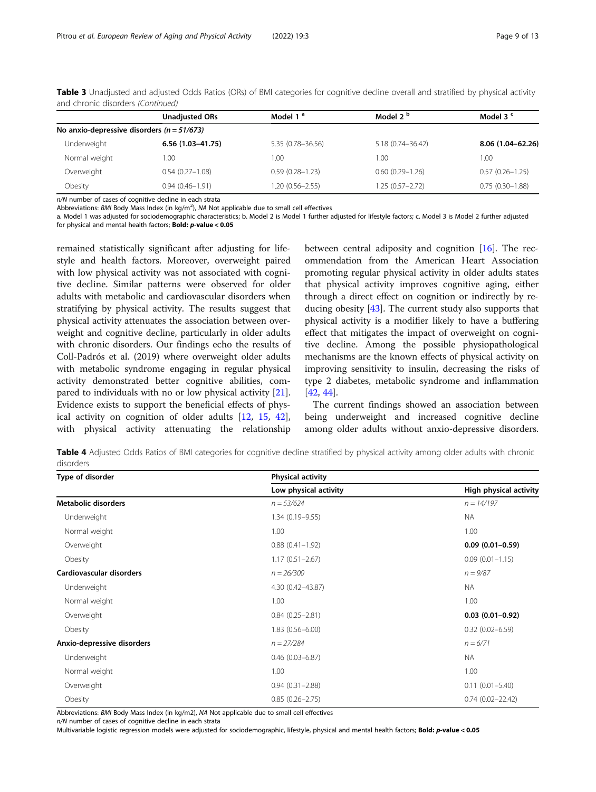|                                              | <b>Unadjusted ORs</b> | Model 1 <sup>a</sup> | Model 2 <sup>b</sup> | Model 3 <sup>c</sup> |
|----------------------------------------------|-----------------------|----------------------|----------------------|----------------------|
| No anxio-depressive disorders $(n = 51/673)$ |                       |                      |                      |                      |
| Underweight                                  | $6.56(1.03 - 41.75)$  | 5.35 (0.78-36.56)    | 5.18 (0.74-36.42)    | 8.06 (1.04-62.26)    |
| Normal weight                                | 1.00                  | 1.00                 | 1.00                 | 1.00                 |
| Overweight                                   | $0.54(0.27 - 1.08)$   | $0.59(0.28 - 1.23)$  | $0.60(0.29 - 1.26)$  | $0.57(0.26 - 1.25)$  |
| Obesity                                      | $0.94(0.46 - 1.91)$   | 1.20 (0.56-2.55)     | $1.25(0.57 - 2.72)$  | $0.75(0.30-1.88)$    |

<span id="page-8-0"></span>Table 3 Unadjusted and adjusted Odds Ratios (ORs) of BMI categories for cognitive decline overall and stratified by physical activity and chronic disorders (Continued)

n/N number of cases of cognitive decline in each strata

Abbreviations: BMI Body Mass Index (in kg/m<sup>2</sup>), NA Not applicable due to small cell effectives

a. Model 1 was adjusted for sociodemographic characteristics; b. Model 2 is Model 1 further adjusted for lifestyle factors; c. Model 3 is Model 2 further adjusted for physical and mental health factors; Bold: p-value < 0.05

remained statistically significant after adjusting for lifestyle and health factors. Moreover, overweight paired with low physical activity was not associated with cognitive decline. Similar patterns were observed for older adults with metabolic and cardiovascular disorders when stratifying by physical activity. The results suggest that physical activity attenuates the association between overweight and cognitive decline, particularly in older adults with chronic disorders. Our findings echo the results of Coll-Padrós et al. (2019) where overweight older adults with metabolic syndrome engaging in regular physical activity demonstrated better cognitive abilities, compared to individuals with no or low physical activity [\[21](#page-11-0)]. Evidence exists to support the beneficial effects of physical activity on cognition of older adults [\[12](#page-10-0), [15](#page-10-0), [42](#page-11-0)], with physical activity attenuating the relationship

between central adiposity and cognition [\[16\]](#page-11-0). The recommendation from the American Heart Association promoting regular physical activity in older adults states that physical activity improves cognitive aging, either through a direct effect on cognition or indirectly by reducing obesity [\[43\]](#page-11-0). The current study also supports that physical activity is a modifier likely to have a buffering effect that mitigates the impact of overweight on cognitive decline. Among the possible physiopathological mechanisms are the known effects of physical activity on improving sensitivity to insulin, decreasing the risks of type 2 diabetes, metabolic syndrome and inflammation [[42,](#page-11-0) [44\]](#page-11-0).

The current findings showed an association between being underweight and increased cognitive decline among older adults without anxio-depressive disorders.

Table 4 Adjusted Odds Ratios of BMI categories for cognitive decline stratified by physical activity among older adults with chronic disorders

| Type of disorder           | <b>Physical activity</b> |                        |  |
|----------------------------|--------------------------|------------------------|--|
|                            | Low physical activity    | High physical activity |  |
| Metabolic disorders        | $n = 53/624$             | $n = 14/197$           |  |
| Underweight                | $1.34(0.19 - 9.55)$      | <b>NA</b>              |  |
| Normal weight              | 1.00                     | 1.00                   |  |
| Overweight                 | $0.88$ $(0.41 - 1.92)$   | $0.09(0.01 - 0.59)$    |  |
| Obesity                    | $1.17(0.51 - 2.67)$      | $0.09(0.01 - 1.15)$    |  |
| Cardiovascular disorders   | $n = 26/300$             | $n = 9/87$             |  |
| Underweight                | 4.30 (0.42-43.87)        | <b>NA</b>              |  |
| Normal weight              | 1.00                     | 1.00                   |  |
| Overweight                 | $0.84(0.25 - 2.81)$      | $0.03(0.01 - 0.92)$    |  |
| Obesity                    | $1.83(0.56 - 6.00)$      | $0.32(0.02 - 6.59)$    |  |
| Anxio-depressive disorders | $n = 27/284$             | $n = 6/71$             |  |
| Underweight                | $0.46$ (0.03-6.87)       | <b>NA</b>              |  |
| Normal weight              | 1.00                     | 1.00                   |  |
| Overweight                 | $0.94(0.31 - 2.88)$      | $0.11(0.01 - 5.40)$    |  |
| Obesity                    | $0.85(0.26 - 2.75)$      | $0.74(0.02 - 22.42)$   |  |

Abbreviations: BMI Body Mass Index (in kg/m2), NA Not applicable due to small cell effectives

n/N number of cases of cognitive decline in each strata

Multivariable logistic regression models were adjusted for sociodemographic, lifestyle, physical and mental health factors; Bold: p-value < 0.05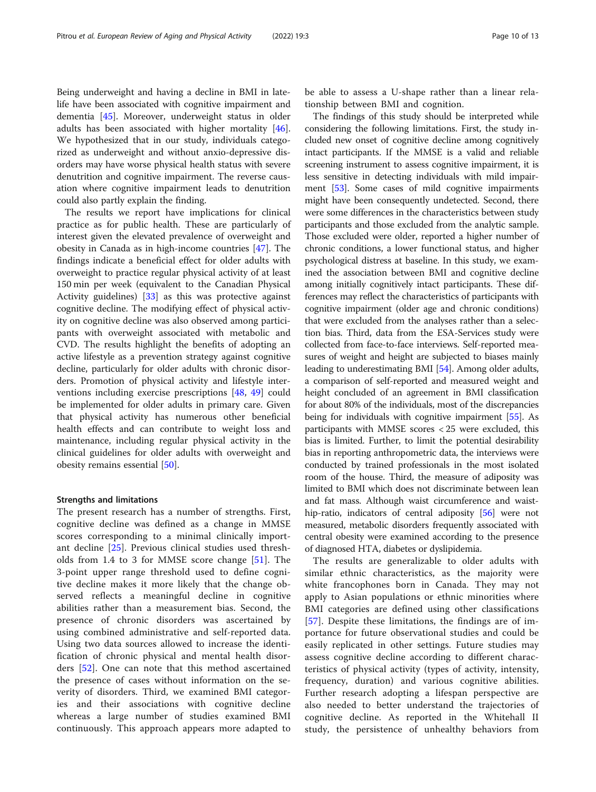Being underweight and having a decline in BMI in latelife have been associated with cognitive impairment and dementia [[45\]](#page-11-0). Moreover, underweight status in older adults has been associated with higher mortality [\[46](#page-11-0)]. We hypothesized that in our study, individuals categorized as underweight and without anxio-depressive disorders may have worse physical health status with severe denutrition and cognitive impairment. The reverse causation where cognitive impairment leads to denutrition could also partly explain the finding.

The results we report have implications for clinical practice as for public health. These are particularly of interest given the elevated prevalence of overweight and obesity in Canada as in high-income countries [[47\]](#page-11-0). The findings indicate a beneficial effect for older adults with overweight to practice regular physical activity of at least 150 min per week (equivalent to the Canadian Physical Activity guidelines) [[33](#page-11-0)] as this was protective against cognitive decline. The modifying effect of physical activity on cognitive decline was also observed among participants with overweight associated with metabolic and CVD. The results highlight the benefits of adopting an active lifestyle as a prevention strategy against cognitive decline, particularly for older adults with chronic disorders. Promotion of physical activity and lifestyle interventions including exercise prescriptions [[48](#page-11-0), [49\]](#page-11-0) could be implemented for older adults in primary care. Given that physical activity has numerous other beneficial health effects and can contribute to weight loss and maintenance, including regular physical activity in the clinical guidelines for older adults with overweight and obesity remains essential [\[50\]](#page-11-0).

#### Strengths and limitations

The present research has a number of strengths. First, cognitive decline was defined as a change in MMSE scores corresponding to a minimal clinically important decline [\[25](#page-11-0)]. Previous clinical studies used thresholds from 1.4 to 3 for MMSE score change [\[51](#page-11-0)]. The 3-point upper range threshold used to define cognitive decline makes it more likely that the change observed reflects a meaningful decline in cognitive abilities rather than a measurement bias. Second, the presence of chronic disorders was ascertained by using combined administrative and self-reported data. Using two data sources allowed to increase the identification of chronic physical and mental health disorders [[52\]](#page-11-0). One can note that this method ascertained the presence of cases without information on the severity of disorders. Third, we examined BMI categories and their associations with cognitive decline whereas a large number of studies examined BMI continuously. This approach appears more adapted to

be able to assess a U-shape rather than a linear relationship between BMI and cognition.

The findings of this study should be interpreted while considering the following limitations. First, the study included new onset of cognitive decline among cognitively intact participants. If the MMSE is a valid and reliable screening instrument to assess cognitive impairment, it is less sensitive in detecting individuals with mild impairment [\[53\]](#page-11-0). Some cases of mild cognitive impairments might have been consequently undetected. Second, there were some differences in the characteristics between study participants and those excluded from the analytic sample. Those excluded were older, reported a higher number of chronic conditions, a lower functional status, and higher psychological distress at baseline. In this study, we examined the association between BMI and cognitive decline among initially cognitively intact participants. These differences may reflect the characteristics of participants with cognitive impairment (older age and chronic conditions) that were excluded from the analyses rather than a selection bias. Third, data from the ESA-Services study were collected from face-to-face interviews. Self-reported measures of weight and height are subjected to biases mainly leading to underestimating BMI [[54](#page-12-0)]. Among older adults, a comparison of self-reported and measured weight and height concluded of an agreement in BMI classification for about 80% of the individuals, most of the discrepancies being for individuals with cognitive impairment [\[55\]](#page-12-0). As participants with MMSE scores < 25 were excluded, this bias is limited. Further, to limit the potential desirability bias in reporting anthropometric data, the interviews were conducted by trained professionals in the most isolated room of the house. Third, the measure of adiposity was limited to BMI which does not discriminate between lean and fat mass. Although waist circumference and waisthip-ratio, indicators of central adiposity [\[56\]](#page-12-0) were not measured, metabolic disorders frequently associated with central obesity were examined according to the presence of diagnosed HTA, diabetes or dyslipidemia.

The results are generalizable to older adults with similar ethnic characteristics, as the majority were white francophones born in Canada. They may not apply to Asian populations or ethnic minorities where BMI categories are defined using other classifications [[57\]](#page-12-0). Despite these limitations, the findings are of importance for future observational studies and could be easily replicated in other settings. Future studies may assess cognitive decline according to different characteristics of physical activity (types of activity, intensity, frequency, duration) and various cognitive abilities. Further research adopting a lifespan perspective are also needed to better understand the trajectories of cognitive decline. As reported in the Whitehall II study, the persistence of unhealthy behaviors from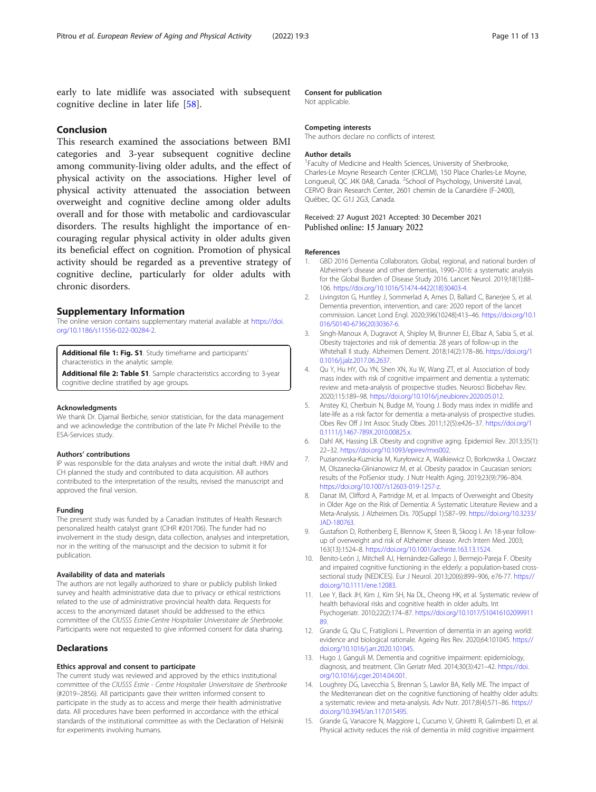<span id="page-10-0"></span>early to late midlife was associated with subsequent cognitive decline in later life [\[58](#page-12-0)].

## Conclusion

This research examined the associations between BMI categories and 3-year subsequent cognitive decline among community-living older adults, and the effect of physical activity on the associations. Higher level of physical activity attenuated the association between overweight and cognitive decline among older adults overall and for those with metabolic and cardiovascular disorders. The results highlight the importance of encouraging regular physical activity in older adults given its beneficial effect on cognition. Promotion of physical activity should be regarded as a preventive strategy of cognitive decline, particularly for older adults with chronic disorders.

## Supplementary Information

The online version contains supplementary material available at [https://doi.](https://doi.org/10.1186/s11556-022-00284-2) [org/10.1186/s11556-022-00284-2.](https://doi.org/10.1186/s11556-022-00284-2)

Additional file 1: Fig. S1. Study timeframe and participants' characteristics in the analytic sample.

Additional file 2: Table S1. Sample characteristics according to 3-year cognitive decline stratified by age groups.

#### Acknowledgments

We thank Dr. Djamal Berbiche, senior statistician, for the data management and we acknowledge the contribution of the late Pr Michel Préville to the ESA-Services study.

#### Authors' contributions

IP was responsible for the data analyses and wrote the initial draft. HMV and CH planned the study and contributed to data acquisition. All authors contributed to the interpretation of the results, revised the manuscript and approved the final version.

#### Funding

The present study was funded by a Canadian Institutes of Health Research personalized health catalyst grant (CIHR #201706). The funder had no involvement in the study design, data collection, analyses and interpretation, nor in the writing of the manuscript and the decision to submit it for publication.

#### Availability of data and materials

The authors are not legally authorized to share or publicly publish linked survey and health administrative data due to privacy or ethical restrictions related to the use of administrative provincial health data. Requests for access to the anonymized dataset should be addressed to the ethics committee of the CIUSSS Estrie-Centre Hospitalier Universitaire de Sherbrooke. Participants were not requested to give informed consent for data sharing.

## **Declarations**

#### Ethics approval and consent to participate

The current study was reviewed and approved by the ethics institutional committee of the CIUSSS Estrie - Centre Hospitalier Universitaire de Sherbrooke (#2019–2856). All participants gave their written informed consent to participate in the study as to access and merge their health administrative data. All procedures have been performed in accordance with the ethical standards of the institutional committee as with the Declaration of Helsinki for experiments involving humans.

#### Consent for publication

Not applicable.

#### Competing interests

The authors declare no conflicts of interest.

#### Author details

<sup>1</sup> Faculty of Medicine and Health Sciences, University of Sherbrooke Charles-Le Moyne Research Center (CRCLM), 150 Place Charles-Le Moyne, Longueuil, QC J4K 0A8, Canada. <sup>2</sup>School of Psychology, Université Laval CERVO Brain Research Center, 2601 chemin de la Canardière (F-2400), Québec, QC G1J 2G3, Canada.

## Received: 27 August 2021 Accepted: 30 December 2021 Published online: 15 January 2022

#### References

- 1. GBD 2016 Dementia Collaborators. Global, regional, and national burden of Alzheimer's disease and other dementias, 1990–2016: a systematic analysis for the Global Burden of Disease Study 2016. Lancet Neurol. 2019;18(1):88– 106. [https://doi.org/10.1016/S1474-4422\(18\)30403-4](https://doi.org/10.1016/S1474-4422(18)30403-4).
- 2. Livingston G, Huntley J, Sommerlad A, Ames D, Ballard C, Banerjee S, et al. Dementia prevention, intervention, and care: 2020 report of the lancet commission. Lancet Lond Engl. 2020;396(10248):413–46. [https://doi.org/10.1](https://doi.org/10.1016/S0140-6736(20)30367-6) [016/S0140-6736\(20\)30367-6](https://doi.org/10.1016/S0140-6736(20)30367-6).
- 3. Singh-Manoux A, Dugravot A, Shipley M, Brunner EJ, Elbaz A, Sabia S, et al. Obesity trajectories and risk of dementia: 28 years of follow-up in the Whitehall II study. Alzheimers Dement. 2018;14(2):178–86. [https://doi.org/1](https://doi.org/10.1016/j.jalz.2017.06.2637) [0.1016/j.jalz.2017.06.2637.](https://doi.org/10.1016/j.jalz.2017.06.2637)
- 4. Qu Y, Hu HY, Ou YN, Shen XN, Xu W, Wang ZT, et al. Association of body mass index with risk of cognitive impairment and dementia: a systematic review and meta-analysis of prospective studies. Neurosci Biobehav Rev. 2020;115:189–98. [https://doi.org/10.1016/j.neubiorev.2020.05.012.](https://doi.org/10.1016/j.neubiorev.2020.05.012)
- 5. Anstey KJ, Cherbuin N, Budge M, Young J. Body mass index in midlife and late-life as a risk factor for dementia: a meta-analysis of prospective studies. Obes Rev Off J Int Assoc Study Obes. 2011;12(5):e426–37. [https://doi.org/1](https://doi.org/10.1111/j.1467-789X.2010.00825.x) [0.1111/j.1467-789X.2010.00825.x](https://doi.org/10.1111/j.1467-789X.2010.00825.x).
- 6. Dahl AK, Hassing LB. Obesity and cognitive aging. Epidemiol Rev. 2013;35(1): 22–32. <https://doi.org/10.1093/epirev/mxs002>.
- 7. Puzianowska-Kuznicka M, Kuryłowicz A, Walkiewicz D, Borkowska J, Owczarz M, Olszanecka-Glinianowicz M, et al. Obesity paradox in Caucasian seniors: results of the PolSenior study. J Nutr Health Aging. 2019;23(9):796–804. [https://doi.org/10.1007/s12603-019-1257-z.](https://doi.org/10.1007/s12603-019-1257-z)
- 8. Danat IM, Clifford A, Partridge M, et al. Impacts of Overweight and Obesity in Older Age on the Risk of Dementia: A Systematic Literature Review and a Meta-Analysis. J Alzheimers Dis. 70(Suppl 1):S87–99. [https://doi.org/10.3233/](https://doi.org/10.3233/JAD-180763) [JAD-180763](https://doi.org/10.3233/JAD-180763).
- 9. Gustafson D, Rothenberg E, Blennow K, Steen B, Skoog I. An 18-year followup of overweight and risk of Alzheimer disease. Arch Intern Med. 2003; 163(13):1524–8. <https://doi.org/10.1001/archinte.163.13.1524>.
- 10. Benito-León J, Mitchell AJ, Hernández-Gallego J, Bermejo-Pareja F. Obesity and impaired cognitive functioning in the elderly: a population-based crosssectional study (NEDICES). Eur J Neurol. 2013;20(6):899–906, e76-77. [https://](https://doi.org/10.1111/ene.12083) [doi.org/10.1111/ene.12083](https://doi.org/10.1111/ene.12083).
- 11. Lee Y, Back JH, Kim J, Kim SH, Na DL, Cheong HK, et al. Systematic review of health behavioral risks and cognitive health in older adults. Int Psychogeriatr. 2010;22(2):174–87. [https://doi.org/10.1017/S10416102099911](https://doi.org/10.1017/S1041610209991189) [89.](https://doi.org/10.1017/S1041610209991189)
- 12. Grande G, Qiu C, Fratiglioni L. Prevention of dementia in an ageing world: evidence and biological rationale. Ageing Res Rev. 2020;64:101045. [https://](https://doi.org/10.1016/j.arr.2020.101045) [doi.org/10.1016/j.arr.2020.101045.](https://doi.org/10.1016/j.arr.2020.101045)
- 13. Hugo J, Ganguli M. Dementia and cognitive impairment: epidemiology, diagnosis, and treatment. Clin Geriatr Med. 2014;30(3):421–42. [https://doi.](https://doi.org/10.1016/j.cger.2014.04.001) [org/10.1016/j.cger.2014.04.001](https://doi.org/10.1016/j.cger.2014.04.001).
- 14. Loughrey DG, Lavecchia S, Brennan S, Lawlor BA, Kelly ME. The impact of the Mediterranean diet on the cognitive functioning of healthy older adults: a systematic review and meta-analysis. Adv Nutr. 2017;8(4):571–86. [https://](https://doi.org/10.3945/an.117.015495) [doi.org/10.3945/an.117.015495](https://doi.org/10.3945/an.117.015495).
- 15. Grande G, Vanacore N, Maggiore L, Cucumo V, Ghiretti R, Galimberti D, et al. Physical activity reduces the risk of dementia in mild cognitive impairment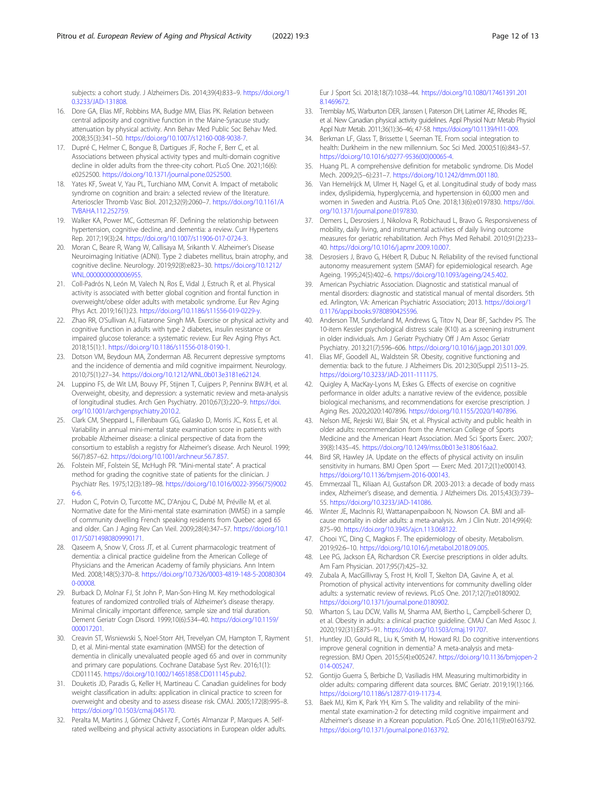<span id="page-11-0"></span>subjects: a cohort study. J Alzheimers Dis. 2014;39(4):833–9. [https://doi.org/1](https://doi.org/10.3233/JAD-131808) [0.3233/JAD-131808](https://doi.org/10.3233/JAD-131808).

- 16. Dore GA, Elias MF, Robbins MA, Budge MM, Elias PK. Relation between central adiposity and cognitive function in the Maine-Syracuse study: attenuation by physical activity. Ann Behav Med Public Soc Behav Med. 2008;35(3):341–50. <https://doi.org/10.1007/s12160-008-9038-7>.
- 17. Dupré C, Helmer C, Bongue B, Dartigues JF, Roche F, Berr C, et al. Associations between physical activity types and multi-domain cognitive decline in older adults from the three-city cohort. PLoS One. 2021;16(6): e0252500. <https://doi.org/10.1371/journal.pone.0252500>.
- 18. Yates KF, Sweat V, Yau PL, Turchiano MM, Convit A. Impact of metabolic syndrome on cognition and brain: a selected review of the literature. Arterioscler Thromb Vasc Biol. 2012;32(9):2060–7. [https://doi.org/10.1161/A](https://doi.org/10.1161/ATVBAHA.112.252759) TVRAHA 112.252759
- 19. Walker KA, Power MC, Gottesman RF. Defining the relationship between hypertension, cognitive decline, and dementia: a review. Curr Hypertens Rep. 2017;19(3):24. <https://doi.org/10.1007/s11906-017-0724-3>.
- 20. Moran C, Beare R, Wang W, Callisaya M, Srikanth V. Alzheimer's Disease Neuroimaging Initiative (ADNI). Type 2 diabetes mellitus, brain atrophy, and cognitive decline. Neurology. 2019;92(8):e823–30. [https://doi.org/10.1212/](https://doi.org/10.1212/WNL.0000000000006955) [WNL.0000000000006955.](https://doi.org/10.1212/WNL.0000000000006955)
- 21. Coll-Padrós N, León M, Valech N, Ros E, Vidal J, Estruch R, et al. Physical activity is associated with better global cognition and frontal function in overweight/obese older adults with metabolic syndrome. Eur Rev Aging Phys Act. 2019;16(1):23. [https://doi.org/10.1186/s11556-019-0229-y.](https://doi.org/10.1186/s11556-019-0229-y)
- 22. Zhao RR, O'Sullivan AJ, Fiatarone Singh MA. Exercise or physical activity and cognitive function in adults with type 2 diabetes, insulin resistance or impaired glucose tolerance: a systematic review. Eur Rev Aging Phys Act. 2018;15(1):1. [https://doi.org/10.1186/s11556-018-0190-1.](https://doi.org/10.1186/s11556-018-0190-1)
- 23. Dotson VM, Beydoun MA, Zonderman AB. Recurrent depressive symptoms and the incidence of dementia and mild cognitive impairment. Neurology. 2010;75(1):27–34. <https://doi.org/10.1212/WNL.0b013e3181e62124>.
- 24. Luppino FS, de Wit LM, Bouvy PF, Stijnen T, Cuijpers P, Penninx BWJH, et al. Overweight, obesity, and depression: a systematic review and meta-analysis of longitudinal studies. Arch Gen Psychiatry. 2010;67(3):220–9. [https://doi.](https://doi.org/10.1001/archgenpsychiatry.2010.2) [org/10.1001/archgenpsychiatry.2010.2](https://doi.org/10.1001/archgenpsychiatry.2010.2).
- 25. Clark CM, Sheppard L, Fillenbaum GG, Galasko D, Morris JC, Koss E, et al. Variability in annual mini-mental state examination score in patients with probable Alzheimer disease: a clinical perspective of data from the consortium to establish a registry for Alzheimer's disease. Arch Neurol. 1999; 56(7):857–62. <https://doi.org/10.1001/archneur.56.7.857>.
- 26. Folstein MF, Folstein SE, McHugh PR. "Mini-mental state". A practical method for grading the cognitive state of patients for the clinician. J Psychiatr Res. 1975;12(3):189–98. [https://doi.org/10.1016/0022-3956\(75\)9002](https://doi.org/10.1016/0022-3956(75)90026-6) [6-6.](https://doi.org/10.1016/0022-3956(75)90026-6)
- 27. Hudon C, Potvin O, Turcotte MC, D'Anjou C, Dubé M, Préville M, et al. Normative date for the Mini-mental state examination (MMSE) in a sample of community dwelling French speaking residents from Quebec aged 65 and older. Can J Aging Rev Can Vieil. 2009;28(4):347–57. [https://doi.org/10.1](https://doi.org/10.1017/S0714980809990171) [017/S0714980809990171](https://doi.org/10.1017/S0714980809990171).
- 28. Qaseem A, Snow V, Cross JT, et al. Current pharmacologic treatment of dementia: a clinical practice guideline from the American College of Physicians and the American Academy of family physicians. Ann Intern Med. 2008;148(5):370–8. [https://doi.org/10.7326/0003-4819-148-5-20080304](https://doi.org/10.7326/0003-4819-148-5-200803040-00008) [0-00008](https://doi.org/10.7326/0003-4819-148-5-200803040-00008).
- 29. Burback D, Molnar FJ, St John P, Man-Son-Hing M. Key methodological features of randomized controlled trials of Alzheimer's disease therapy. Minimal clinically important difference, sample size and trial duration. Dement Geriatr Cogn Disord. 1999;10(6):534–40. [https://doi.org/10.1159/](https://doi.org/10.1159/000017201) [000017201](https://doi.org/10.1159/000017201).
- 30. Creavin ST, Wisniewski S, Noel-Storr AH, Trevelyan CM, Hampton T, Rayment D, et al. Mini-mental state examination (MMSE) for the detection of dementia in clinically unevaluated people aged 65 and over in community and primary care populations. Cochrane Database Syst Rev. 2016;1(1): CD011145. [https://doi.org/10.1002/14651858.CD011145.pub2.](https://doi.org/10.1002/14651858.CD011145.pub2)
- 31. Douketis JD, Paradis G, Keller H, Martineau C. Canadian guidelines for body weight classification in adults: application in clinical practice to screen for overweight and obesity and to assess disease risk. CMAJ. 2005;172(8):995–8. <https://doi.org/10.1503/cmaj.045170>.
- 32. Peralta M, Martins J, Gómez Chávez F, Cortés Almanzar P, Marques A. Selfrated wellbeing and physical activity associations in European older adults.

Eur J Sport Sci. 2018;18(7):1038–44. [https://doi.org/10.1080/17461391.201](https://doi.org/10.1080/17461391.2018.1469672) [8.1469672](https://doi.org/10.1080/17461391.2018.1469672).

- 33. Tremblay MS, Warburton DER, Janssen I, Paterson DH, Latimer AE, Rhodes RE, et al. New Canadian physical activity guidelines. Appl Physiol Nutr Metab Physiol Appl Nutr Metab. 2011;36(1):36–46; 47-58. [https://doi.org/10.1139/H11-009.](https://doi.org/10.1139/H11-009)
- 34. Berkman LF, Glass T, Brissette I, Seeman TE. From social integration to health: Durkheim in the new millennium. Soc Sci Med. 2000;51(6):843–57. [https://doi.org/10.1016/s0277-9536\(00\)00065-4](https://doi.org/10.1016/s0277-9536(00)00065-4).
- 35. Huang PL. A comprehensive definition for metabolic syndrome. Dis Model Mech. 2009;2(5–6):231–7. <https://doi.org/10.1242/dmm.001180>.
- 36. Van Hemelrijck M, Ulmer H, Nagel G, et al. Longitudinal study of body mass index, dyslipidemia, hyperglycemia, and hypertension in 60,000 men and women in Sweden and Austria. PLoS One. 2018;13(6):e0197830. [https://doi.](https://doi.org/10.1371/journal.pone.0197830) [org/10.1371/journal.pone.0197830.](https://doi.org/10.1371/journal.pone.0197830)
- 37. Demers L, Desrosiers J, Nikolova R, Robichaud L, Bravo G. Responsiveness of mobility, daily living, and instrumental activities of daily living outcome measures for geriatric rehabilitation. Arch Phys Med Rehabil. 2010;91(2):233– 40. [https://doi.org/10.1016/j.apmr.2009.10.007.](https://doi.org/10.1016/j.apmr.2009.10.007)
- 38. Desrosiers J, Bravo G, Hébert R, Dubuc N. Reliability of the revised functional autonomy measurement system (SMAF) for epidemiological research. Age Ageing. 1995;24(5):402–6. <https://doi.org/10.1093/ageing/24.5.402>.
- 39. American Psychiatric Association. Diagnostic and statistical manual of mental disorders: diagnostic and statistical manual of mental disorders. 5th ed. Arlington, VA: American Psychiatric Association; 2013. [https://doi.org/1](https://doi.org/10.1176/appi.books.9780890425596) [0.1176/appi.books.9780890425596.](https://doi.org/10.1176/appi.books.9780890425596)
- 40. Anderson TM, Sunderland M, Andrews G, Titov N, Dear BF, Sachdev PS. The 10-item Kessler psychological distress scale (K10) as a screening instrument in older individuals. Am J Geriatr Psychiatry Off J Am Assoc Geriatr Psychiatry. 2013;21(7):596–606. <https://doi.org/10.1016/j.jagp.2013.01.009>.
- 41. Elias MF, Goodell AL, Waldstein SR. Obesity, cognitive functioning and dementia: back to the future. J Alzheimers Dis. 2012;30(Suppl 2):S113–25. <https://doi.org/10.3233/JAD-2011-111175>.
- 42. Quigley A, MacKay-Lyons M, Eskes G. Effects of exercise on cognitive performance in older adults: a narrative review of the evidence, possible biological mechanisms, and recommendations for exercise prescription. J Aging Res. 2020;2020:1407896. [https://doi.org/10.1155/2020/1407896.](https://doi.org/10.1155/2020/1407896)
- 43. Nelson ME, Rejeski WJ, Blair SN, et al. Physical activity and public health in older adults: recommendation from the American College of Sports Medicine and the American Heart Association. Med Sci Sports Exerc. 2007; 39(8):1435–45. <https://doi.org/10.1249/mss.0b013e3180616aa2>.
- 44. Bird SR, Hawley JA. Update on the effects of physical activity on insulin sensitivity in humans. BMJ Open Sport — Exerc Med. 2017;2(1):e000143. <https://doi.org/10.1136/bmjsem-2016-000143>.
- 45. Emmerzaal TL, Kiliaan AJ, Gustafson DR. 2003-2013: a decade of body mass index, Alzheimer's disease, and dementia. J Alzheimers Dis. 2015;43(3):739– 55. [https://doi.org/10.3233/JAD-141086.](https://doi.org/10.3233/JAD-141086)
- 46. Winter JE, MacInnis RJ, Wattanapenpaiboon N, Nowson CA. BMI and allcause mortality in older adults: a meta-analysis. Am J Clin Nutr. 2014;99(4): 875–90. [https://doi.org/10.3945/ajcn.113.068122.](https://doi.org/10.3945/ajcn.113.068122)
- 47. Chooi YC, Ding C, Magkos F. The epidemiology of obesity. Metabolism. 2019;92:6–10. [https://doi.org/10.1016/j.metabol.2018.09.005.](https://doi.org/10.1016/j.metabol.2018.09.005)
- 48. Lee PG, Jackson EA, Richardson CR. Exercise prescriptions in older adults. Am Fam Physician. 2017;95(7):425–32.
- 49. Zubala A, MacGillivray S, Frost H, Kroll T, Skelton DA, Gavine A, et al. Promotion of physical activity interventions for community dwelling older adults: a systematic review of reviews. PLoS One. 2017;12(7):e0180902. [https://doi.org/10.1371/journal.pone.0180902.](https://doi.org/10.1371/journal.pone.0180902)
- 50. Wharton S, Lau DCW, Vallis M, Sharma AM, Biertho L, Campbell-Scherer D, et al. Obesity in adults: a clinical practice guideline. CMAJ Can Med Assoc J. 2020;192(31):E875–91. <https://doi.org/10.1503/cmaj.191707>.
- 51. Huntley JD, Gould RL, Liu K, Smith M, Howard RJ. Do cognitive interventions improve general cognition in dementia? A meta-analysis and metaregression. BMJ Open. 2015;5(4):e005247. [https://doi.org/10.1136/bmjopen-2](https://doi.org/10.1136/bmjopen-2014-005247) [014-005247.](https://doi.org/10.1136/bmjopen-2014-005247)
- 52. Gontijo Guerra S, Berbiche D, Vasiliadis HM. Measuring multimorbidity in older adults: comparing different data sources. BMC Geriatr. 2019;19(1):166. <https://doi.org/10.1186/s12877-019-1173-4>.
- 53. Baek MJ, Kim K, Park YH, Kim S. The validity and reliability of the minimental state examination-2 for detecting mild cognitive impairment and Alzheimer's disease in a Korean population. PLoS One. 2016;11(9):e0163792. [https://doi.org/10.1371/journal.pone.0163792.](https://doi.org/10.1371/journal.pone.0163792)